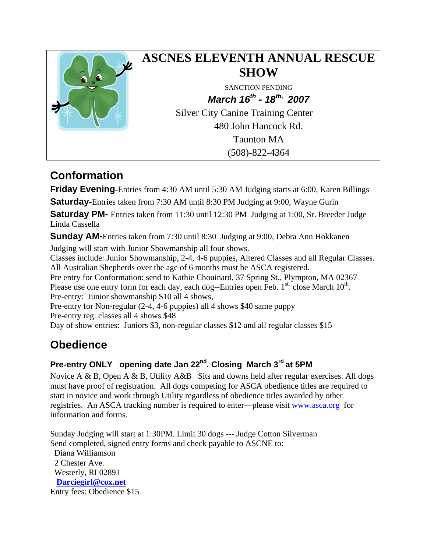

# **ASCNES ELEVENTH ANNUAL RESCUE SHOW**

SANCTION PENDING *March 16th - 18th, 2007* Silver City Canine Training Center 480 John Hancock Rd.

Taunton MA (508)-822-4364

# **Conformation**

**Friday Evening-**Entries from 4:30 AM until 5:30 AM Judging starts at 6:00, Karen Billings **Saturday-**Entries taken from 7:30 AM until 8:30 PM Judging at 9:00, Wayne Gurin

**Saturday PM-** Entries taken from 11:30 until 12:30 PM Judging at 1:00, Sr. Breeder Judge

Linda Cassella

**Sunday AM-**Entries taken from 7:30 until 8:30 Judging at 9:00, Debra Ann Hokkanen

Judging will start with Junior Showmanship all four shows.

Classes include: Junior Showmanship, 2-4, 4-6 puppies, Altered Classes and all Regular Classes. All Australian Shepherds over the age of 6 months must be ASCA registered.

Pre entry for Conformation: send to Kathie Chouinard, 37 Spring St., Plympton, MA 02367 Please use one entry form for each day, each dog--Entries open Feb.  $1^{st.}$  close March  $10^{th.}$ . Pre-entry: Junior showmanship \$10 all 4 shows,

Pre-entry for Non-regular (2-4, 4-6 puppies) all 4 shows \$40 same puppy Pre-entry reg. classes all 4 shows \$48

Day of show entries: Juniors \$3, non-regular classes \$12 and all regular classes \$15

# **Obedience**

### **Pre-entry ONLY opening date Jan 22nd. Closing March 3rd at 5PM**

Novice A & B, Open A & B, Utility A&B Sits and downs held after regular exercises. All dogs must have proof of registration. All dogs competing for ASCA obedience titles are required to start in novice and work through Utility regardless of obedience titles awarded by other registries. An ASCA tracking number is required to enter—please visit [www.asca.org](http://www.asca.org/) for information and forms.

Sunday Judging will start at 1:30PM. Limit 30 dogs --- Judge Cotton Silverman Send completed, signed entry forms and check payable to ASCNE to: Diana Williamson 2 Chester Ave. Westerly, RI 02891 **[Darciegirl@cox.net](mailto:Darciegirl@cox.net)** Entry fees: Obedience \$15